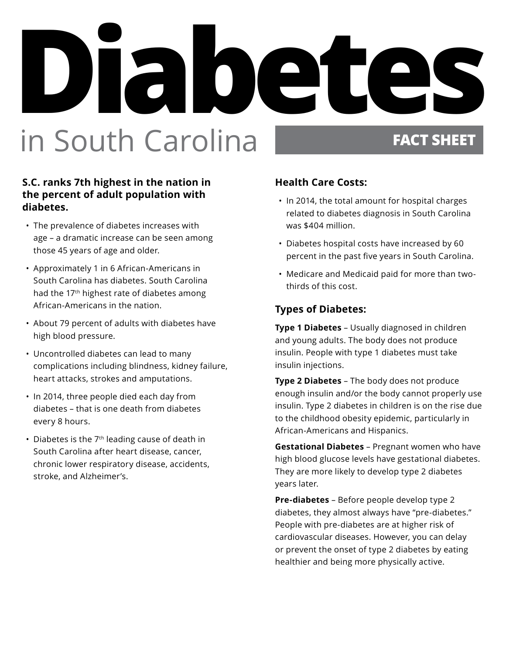# **Diabetes In South Carolina FACT SHEET**

### **S.C. ranks 7th highest in the nation in the percent of adult population with diabetes.**

- The prevalence of diabetes increases with age – a dramatic increase can be seen among those 45 years of age and older.
- Approximately 1 in 6 African-Americans in South Carolina has diabetes. South Carolina had the 17<sup>th</sup> highest rate of diabetes among African-Americans in the nation.
- About 79 percent of adults with diabetes have high blood pressure.
- Uncontrolled diabetes can lead to many complications including blindness, kidney failure, heart attacks, strokes and amputations.
- In 2014, three people died each day from diabetes – that is one death from diabetes every 8 hours.
- Diabetes is the 7<sup>th</sup> leading cause of death in South Carolina after heart disease, cancer, chronic lower respiratory disease, accidents, stroke, and Alzheimer's.

### **Health Care Costs:**

- In 2014, the total amount for hospital charges related to diabetes diagnosis in South Carolina was \$404 million.
- Diabetes hospital costs have increased by 60 percent in the past five years in South Carolina.
- Medicare and Medicaid paid for more than twothirds of this cost.

### **Types of Diabetes:**

**Type 1 Diabetes** – Usually diagnosed in children and young adults. The body does not produce insulin. People with type 1 diabetes must take insulin injections.

**Type 2 Diabetes** – The body does not produce enough insulin and/or the body cannot properly use insulin. Type 2 diabetes in children is on the rise due to the childhood obesity epidemic, particularly in African-Americans and Hispanics.

**Gestational Diabetes** – Pregnant women who have high blood glucose levels have gestational diabetes. They are more likely to develop type 2 diabetes years later.

**Pre-diabetes** – Before people develop type 2 diabetes, they almost always have "pre-diabetes." People with pre-diabetes are at higher risk of cardiovascular diseases. However, you can delay or prevent the onset of type 2 diabetes by eating healthier and being more physically active.